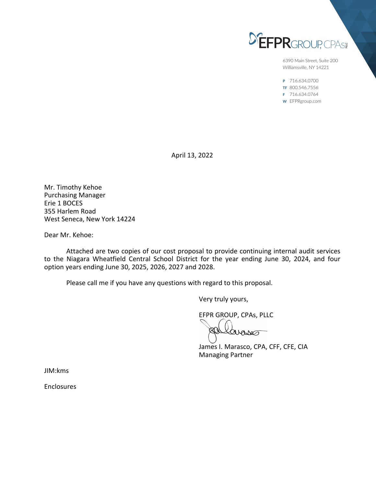

6390 Main Street, Suite 200 Williamsville, NY 14221

P 716.634.0700 TF 800.546.7556 F 716.634.0764 W EFPRgroup.com

April 13, 2022

Mr. Timothy Kehoe Purchasing Manager Erie 1 BOCES 355 Harlem Road West Seneca, New York 14224

Dear Mr. Kehoe:

Attached are two copies of our cost proposal to provide continuing internal audit services to the Niagara Wheatfield Central School District for the year ending June 30, 2024, and four option years ending June 30, 2025, 2026, 2027 and 2028.

Please call me if you have any questions with regard to this proposal.

Very truly yours,

EFPR GROUP, CPAs, PLLC

avaves

James I. Marasco, CPA, CFF, CFE, CIA Managing Partner

JIM:kms

Enclosures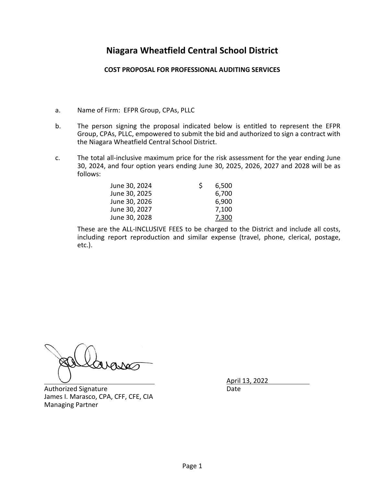# **Niagara Wheatfield Central School District**

### **COST PROPOSAL FOR PROFESSIONAL AUDITING SERVICES**

- a. Name of Firm: EFPR Group, CPAs, PLLC
- b. The person signing the proposal indicated below is entitled to represent the EFPR Group, CPAs, PLLC, empowered to submit the bid and authorized to sign a contract with the Niagara Wheatfield Central School District.
- c. The total all-inclusive maximum price for the risk assessment for the year ending June 30, 2024, and four option years ending June 30, 2025, 2026, 2027 and 2028 will be as follows:

| June 30, 2024 | S | 6,500        |
|---------------|---|--------------|
| June 30, 2025 |   | 6,700        |
| June 30, 2026 |   | 6,900        |
| June 30, 2027 |   | 7,100        |
| June 30, 2028 |   | <u>7,300</u> |

These are the ALL-INCLUSIVE FEES to be charged to the District and include all costs, including report reproduction and similar expense (travel, phone, clerical, postage, etc.).

Authorized Signature **Date** Date James I. Marasco, CPA, CFF, CFE, CIA Managing Partner

April 13, 2022